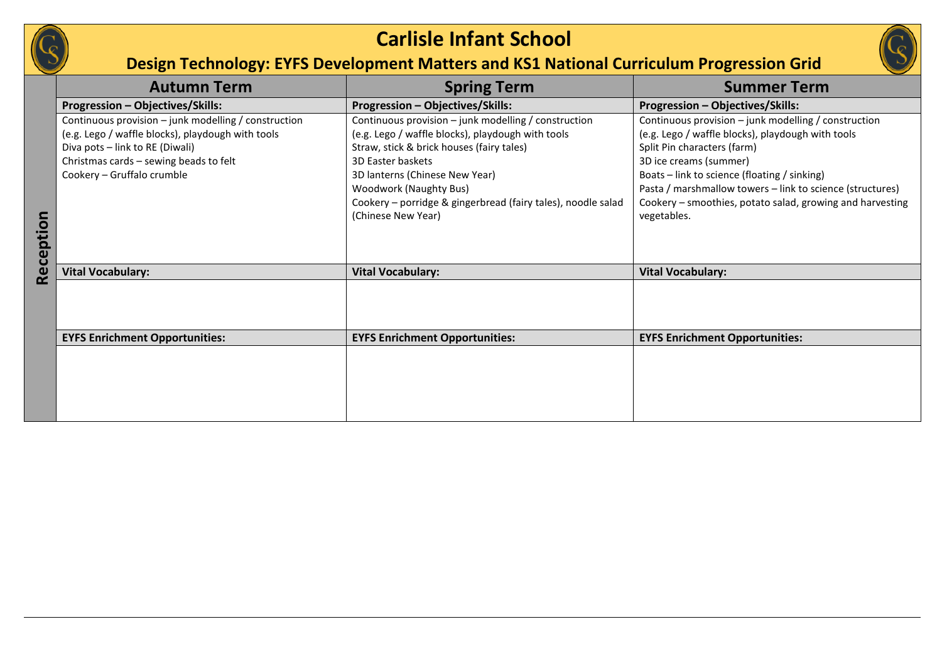

## **Carlisle Infant School**

## **Design Technology: EYFS Development Matters and KS1 National Curriculum Progression Grid**

|           | <b>Autumn Term</b>                                   | <b>Spring Term</b>                                                                 | <b>Summer Term</b>                                                                                                     |  |
|-----------|------------------------------------------------------|------------------------------------------------------------------------------------|------------------------------------------------------------------------------------------------------------------------|--|
|           | <b>Progression - Objectives/Skills:</b>              | Progression - Objectives/Skills:                                                   | Progression - Objectives/Skills:                                                                                       |  |
|           | Continuous provision - junk modelling / construction | Continuous provision - junk modelling / construction                               | Continuous provision - junk modelling / construction                                                                   |  |
|           | (e.g. Lego / waffle blocks), playdough with tools    | (e.g. Lego / waffle blocks), playdough with tools                                  | (e.g. Lego / waffle blocks), playdough with tools                                                                      |  |
|           | Diva pots - link to RE (Diwali)                      | Straw, stick & brick houses (fairy tales)                                          | Split Pin characters (farm)                                                                                            |  |
|           | Christmas cards - sewing beads to felt               | 3D Easter baskets                                                                  | 3D ice creams (summer)                                                                                                 |  |
|           | Cookery - Gruffalo crumble                           | 3D lanterns (Chinese New Year)                                                     | Boats - link to science (floating / sinking)                                                                           |  |
|           |                                                      | <b>Woodwork (Naughty Bus)</b>                                                      | Pasta / marshmallow towers - link to science (structures)<br>Cookery - smoothies, potato salad, growing and harvesting |  |
|           |                                                      | Cookery - porridge & gingerbread (fairy tales), noodle salad<br>(Chinese New Year) | vegetables.                                                                                                            |  |
|           |                                                      |                                                                                    |                                                                                                                        |  |
|           |                                                      |                                                                                    |                                                                                                                        |  |
|           |                                                      |                                                                                    |                                                                                                                        |  |
| Reception | <b>Vital Vocabulary:</b>                             | <b>Vital Vocabulary:</b>                                                           | <b>Vital Vocabulary:</b>                                                                                               |  |
|           |                                                      |                                                                                    |                                                                                                                        |  |
|           |                                                      |                                                                                    |                                                                                                                        |  |
|           |                                                      |                                                                                    |                                                                                                                        |  |
|           | <b>EYFS Enrichment Opportunities:</b>                | <b>EYFS Enrichment Opportunities:</b>                                              | <b>EYFS Enrichment Opportunities:</b>                                                                                  |  |
|           |                                                      |                                                                                    |                                                                                                                        |  |
|           |                                                      |                                                                                    |                                                                                                                        |  |
|           |                                                      |                                                                                    |                                                                                                                        |  |
|           |                                                      |                                                                                    |                                                                                                                        |  |
|           |                                                      |                                                                                    |                                                                                                                        |  |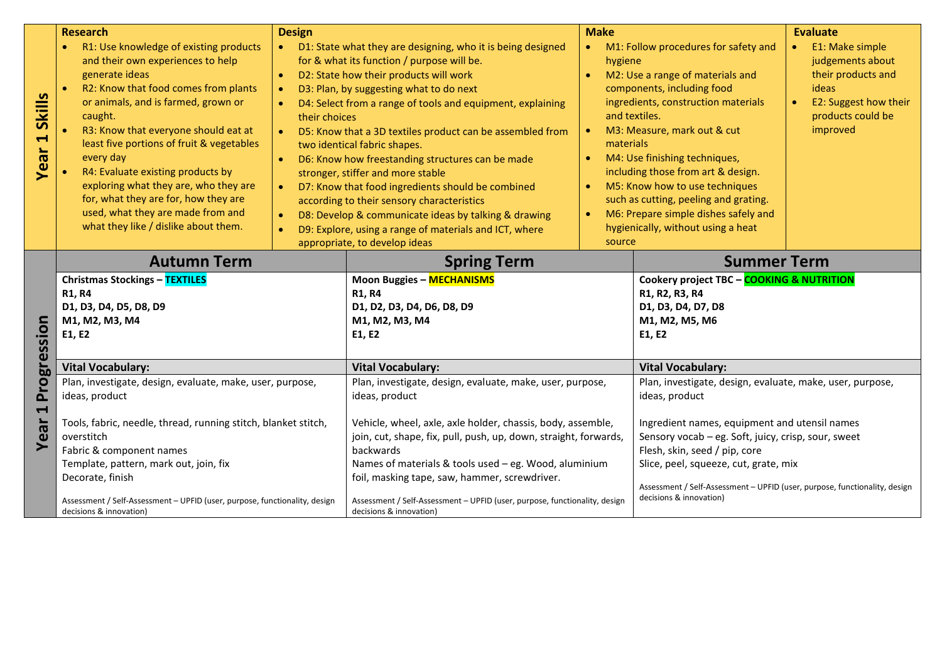|                       | <b>Research</b>                                                               | <b>Design</b>                                                          |                                                                                         | <b>Make</b>                         |                                                                                                       | <b>Evaluate</b>       |
|-----------------------|-------------------------------------------------------------------------------|------------------------------------------------------------------------|-----------------------------------------------------------------------------------------|-------------------------------------|-------------------------------------------------------------------------------------------------------|-----------------------|
|                       | R1: Use knowledge of existing products                                        |                                                                        | D1: State what they are designing, who it is being designed                             | $\bullet$                           | M1: Follow procedures for safety and                                                                  | E1: Make simple       |
|                       | and their own experiences to help                                             | for & what its function / purpose will be.                             |                                                                                         | hygiene                             |                                                                                                       | judgements about      |
|                       | generate ideas                                                                | D2: State how their products will work<br>$\bullet$                    |                                                                                         | M2: Use a range of materials and    |                                                                                                       | their products and    |
|                       | R2: Know that food comes from plants                                          | D3: Plan, by suggesting what to do next<br>$\bullet$                   |                                                                                         |                                     | components, including food                                                                            | ideas                 |
| <b>Skills</b>         | or animals, and is farmed, grown or                                           | D4: Select from a range of tools and equipment, explaining             |                                                                                         | ingredients, construction materials |                                                                                                       | E2: Suggest how their |
|                       | caught.                                                                       | their choices                                                          |                                                                                         | and textiles.                       |                                                                                                       | products could be     |
| $\blacktriangleleft$  | R3: Know that everyone should eat at                                          | D5: Know that a 3D textiles product can be assembled from<br>$\bullet$ |                                                                                         | M3: Measure, mark out & cut         |                                                                                                       | improved              |
|                       | least five portions of fruit & vegetables                                     | two identical fabric shapes.                                           |                                                                                         | materials                           |                                                                                                       |                       |
| Year                  | every day                                                                     |                                                                        | D6: Know how freestanding structures can be made                                        |                                     | M4: Use finishing techniques,                                                                         |                       |
|                       | R4: Evaluate existing products by                                             |                                                                        | stronger, stiffer and more stable                                                       |                                     | including those from art & design.                                                                    |                       |
|                       | exploring what they are, who they are<br>for, what they are for, how they are | $\bullet$                                                              | D7: Know that food ingredients should be combined                                       |                                     | M5: Know how to use techniques<br>such as cutting, peeling and grating.                               |                       |
|                       | used, what they are made from and                                             |                                                                        | according to their sensory characteristics                                              |                                     | M6: Prepare simple dishes safely and                                                                  |                       |
|                       | what they like / dislike about them.                                          | $\bullet$                                                              | D8: Develop & communicate ideas by talking & drawing                                    |                                     | hygienically, without using a heat                                                                    |                       |
|                       |                                                                               | $\bullet$                                                              | D9: Explore, using a range of materials and ICT, where<br>appropriate, to develop ideas | source                              |                                                                                                       |                       |
|                       |                                                                               |                                                                        |                                                                                         |                                     |                                                                                                       |                       |
|                       | <b>Autumn Term</b>                                                            |                                                                        | <b>Spring Term</b>                                                                      |                                     | <b>Summer Term</b>                                                                                    |                       |
|                       | <b>Christmas Stockings - TEXTILES</b>                                         |                                                                        | <b>Moon Buggies - MECHANISMS</b><br>Cookery project TBC - COOKING & NUTRITION           |                                     |                                                                                                       |                       |
|                       | <b>R1, R4</b>                                                                 |                                                                        | <b>R1, R4</b>                                                                           |                                     | R1, R2, R3, R4<br>D1, D3, D4, D7, D8                                                                  |                       |
|                       | D1, D3, D4, D5, D8, D9<br>M1, M2, M3, M4                                      |                                                                        | D1, D2, D3, D4, D6, D8, D9<br>M1, M2, M3, M4                                            |                                     | M1, M2, M5, M6                                                                                        |                       |
|                       | E1, E2                                                                        |                                                                        | E1, E2                                                                                  |                                     | E1, E2                                                                                                |                       |
|                       |                                                                               |                                                                        |                                                                                         |                                     |                                                                                                       |                       |
| Progression           | <b>Vital Vocabulary:</b>                                                      |                                                                        | <b>Vital Vocabulary:</b>                                                                |                                     | <b>Vital Vocabulary:</b>                                                                              |                       |
|                       | Plan, investigate, design, evaluate, make, user, purpose,                     |                                                                        | Plan, investigate, design, evaluate, make, user, purpose,                               |                                     | Plan, investigate, design, evaluate, make, user, purpose,                                             |                       |
|                       | ideas, product                                                                |                                                                        | ideas, product                                                                          |                                     | ideas, product                                                                                        |                       |
| $\blacktriangleright$ | Tools, fabric, needle, thread, running stitch, blanket stitch,                |                                                                        | Vehicle, wheel, axle, axle holder, chassis, body, assemble,                             |                                     | Ingredient names, equipment and utensil names                                                         |                       |
| Year                  | overstitch                                                                    |                                                                        | join, cut, shape, fix, pull, push, up, down, straight, forwards,                        |                                     | Sensory vocab - eg. Soft, juicy, crisp, sour, sweet                                                   |                       |
|                       | Fabric & component names                                                      |                                                                        | backwards                                                                               |                                     | Flesh, skin, seed / pip, core                                                                         |                       |
|                       | Template, pattern, mark out, join, fix                                        |                                                                        | Names of materials & tools used - eg. Wood, aluminium                                   |                                     | Slice, peel, squeeze, cut, grate, mix                                                                 |                       |
|                       | Decorate, finish                                                              |                                                                        | foil, masking tape, saw, hammer, screwdriver.                                           |                                     |                                                                                                       |                       |
|                       | Assessment / Self-Assessment - UPFID (user, purpose, functionality, design    |                                                                        | Assessment / Self-Assessment - UPFID (user, purpose, functionality, design              |                                     | Assessment / Self-Assessment - UPFID (user, purpose, functionality, design<br>decisions & innovation) |                       |
|                       | decisions & innovation)                                                       |                                                                        | decisions & innovation)                                                                 |                                     |                                                                                                       |                       |